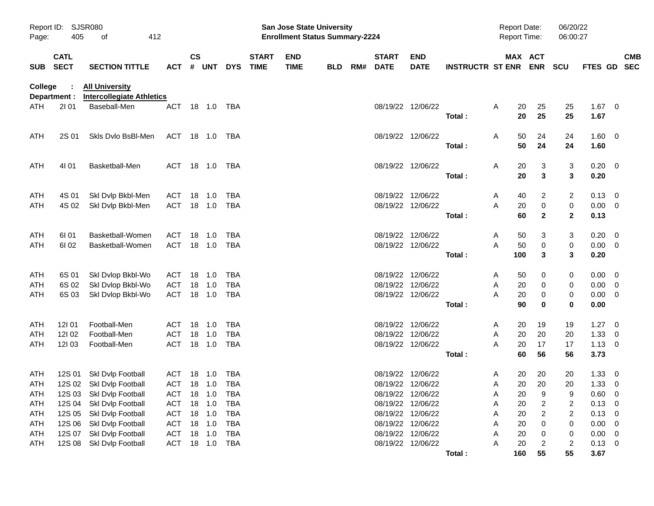| Page:          | Report ID:<br>SJSR080<br>405<br>412<br>οf |                                                           |                |           | <b>San Jose State University</b><br><b>Enrollment Status Summary-2224</b> |              |                             |                           |            |  |                          |                           |                         | <b>Report Date:</b><br>06/20/22<br><b>Report Time:</b><br>06:00:27 |           |                               |                         |                  |                          |                          |
|----------------|-------------------------------------------|-----------------------------------------------------------|----------------|-----------|---------------------------------------------------------------------------|--------------|-----------------------------|---------------------------|------------|--|--------------------------|---------------------------|-------------------------|--------------------------------------------------------------------|-----------|-------------------------------|-------------------------|------------------|--------------------------|--------------------------|
| <b>SUB</b>     | <b>CATL</b><br><b>SECT</b>                | <b>SECTION TITTLE</b>                                     | <b>ACT</b>     | <b>CS</b> | # UNT                                                                     | <b>DYS</b>   | <b>START</b><br><b>TIME</b> | <b>END</b><br><b>TIME</b> | <b>BLD</b> |  | <b>START</b><br>RM# DATE | <b>END</b><br><b>DATE</b> | <b>INSTRUCTR ST ENR</b> |                                                                    | MAX ACT   | <b>ENR</b>                    | <b>SCU</b>              | <b>FTES GD</b>   |                          | <b>CMB</b><br><b>SEC</b> |
| <b>College</b> | Department :                              | <b>All University</b><br><b>Intercollegiate Athletics</b> |                |           |                                                                           |              |                             |                           |            |  |                          |                           |                         |                                                                    |           |                               |                         |                  |                          |                          |
| ATH            | 2101                                      | Baseball-Men                                              | ACT            |           |                                                                           | 18  1.0  TBA |                             |                           |            |  |                          | 08/19/22 12/06/22         | Total:                  | A                                                                  | 20<br>20  | 25<br>25                      | 25<br>25                | $1.67$ 0<br>1.67 |                          |                          |
| ATH            | 2S 01                                     | Skis Dvio BsBI-Men                                        | ACT 18 1.0 TBA |           |                                                                           |              |                             |                           |            |  |                          | 08/19/22 12/06/22         | Total:                  | A                                                                  | 50<br>50  | 24<br>24                      | 24<br>24                | 1.60 0<br>1.60   |                          |                          |
| ATH            | 4101                                      | Basketball-Men                                            | ACT 18 1.0 TBA |           |                                                                           |              |                             |                           |            |  |                          | 08/19/22 12/06/22         |                         | A                                                                  | 20        | 3                             | 3                       | $0.20 \ 0$       |                          |                          |
|                |                                           |                                                           |                |           |                                                                           |              |                             |                           |            |  |                          |                           | Total:                  |                                                                    | 20        | 3                             | 3                       | 0.20             |                          |                          |
| ATH            | 4S 01                                     | Skl Dvlp Bkbl-Men                                         | ACT            | 18        | $-1.0$                                                                    | TBA          |                             |                           |            |  |                          | 08/19/22 12/06/22         |                         | A                                                                  | 40        | 2                             | 2                       | 0.13             | - 0                      |                          |
| ATH            | 4S 02                                     | Skl Dvlp Bkbl-Men                                         | ACT            |           | 18 1.0                                                                    | TBA          |                             |                           |            |  |                          | 08/19/22 12/06/22         | Total:                  | A                                                                  | 20<br>60  | $\mathbf 0$<br>$\overline{2}$ | 0<br>$\mathbf{2}$       | 0.00<br>0.13     | $\overline{\phantom{0}}$ |                          |
| ATH            | 61 01                                     | Basketball-Women                                          | ACT            | 18        | 1.0                                                                       | TBA          |                             |                           |            |  |                          | 08/19/22 12/06/22         |                         | A                                                                  | 50        | 3                             | 3                       | 0.20             | - 0                      |                          |
| <b>ATH</b>     | 61 02                                     | Basketball-Women                                          | ACT            |           | 18 1.0                                                                    | TBA          |                             |                           |            |  |                          | 08/19/22 12/06/22         |                         | A                                                                  | 50<br>100 | $\mathbf 0$<br>3              | 0<br>3                  | 0.00<br>0.20     | $\overline{\phantom{0}}$ |                          |
|                |                                           |                                                           |                |           |                                                                           |              |                             |                           |            |  |                          |                           | Total:                  |                                                                    |           |                               |                         |                  |                          |                          |
| ATH            | 6S 01                                     | Skl Dvlop Bkbl-Wo                                         | ACT            |           | 18 1.0                                                                    | TBA          |                             |                           |            |  |                          | 08/19/22 12/06/22         |                         | A                                                                  | 50        | 0                             | 0                       | $0.00 \t 0$      |                          |                          |
| ATH            | 6S 02                                     | Skl Dvlop Bkbl-Wo                                         | <b>ACT</b>     | 18        | 1.0                                                                       | <b>TBA</b>   |                             |                           |            |  | 08/19/22                 | 12/06/22                  |                         | A                                                                  | 20        | 0                             | 0                       | 0.00             | - 0                      |                          |
| ATH            | 6S 03                                     | Skl Dvlop Bkbl-Wo                                         | ACT            |           | 18 1.0                                                                    | TBA          |                             |                           |            |  |                          | 08/19/22 12/06/22         |                         | Α                                                                  | 20        | 0                             | 0                       | 0.00             | - 0                      |                          |
|                |                                           |                                                           |                |           |                                                                           |              |                             |                           |            |  |                          |                           | Total:                  |                                                                    | 90        | 0                             | 0                       | 0.00             |                          |                          |
| ATH            | 12101                                     | Football-Men                                              | ACT            |           | 18 1.0                                                                    | TBA          |                             |                           |            |  | 08/19/22                 | 12/06/22                  |                         | A                                                                  | 20        | 19                            | 19                      | $1.27 \t 0$      |                          |                          |
| ATH            | 121 02                                    | Football-Men                                              | ACT            | 18        | 1.0                                                                       | <b>TBA</b>   |                             |                           |            |  | 08/19/22                 | 12/06/22                  |                         | Α                                                                  | 20        | 20                            | 20                      | 1.33             | - 0                      |                          |
| <b>ATH</b>     | 12103                                     | Football-Men                                              | <b>ACT</b>     |           | 18 1.0                                                                    | TBA          |                             |                           |            |  |                          | 08/19/22 12/06/22         |                         | A                                                                  | 20        | 17                            | 17                      | 1.13             | $\overline{\phantom{0}}$ |                          |
|                |                                           |                                                           |                |           |                                                                           |              |                             |                           |            |  |                          |                           | Total:                  |                                                                    | 60        | 56                            | 56                      | 3.73             |                          |                          |
| ATH            |                                           | 12S 01 SkI Dvlp Football                                  | ACT 18 1.0     |           |                                                                           | TBA          |                             |                           |            |  |                          | 08/19/22 12/06/22         |                         | A                                                                  | 20        | 20                            | 20                      | 1.33             | $\overline{\mathbf{0}}$  |                          |
| <b>ATH</b>     |                                           | 12S 02 Skl Dvlp Football                                  | ACT 18 1.0     |           |                                                                           | TBA          |                             |                           |            |  |                          | 08/19/22 12/06/22         |                         | A                                                                  | 20        | 20                            | 20                      | 1.33             | - 0                      |                          |
| <b>ATH</b>     |                                           | 12S 03 Skl Dvlp Football                                  | ACT            | 18        | 1.0                                                                       | <b>TBA</b>   |                             |                           |            |  |                          | 08/19/22 12/06/22         |                         | Α                                                                  | 20        | 9                             | 9                       | 0.60             | 0                        |                          |
| ATH            | 12S 04                                    | Skl Dvlp Football                                         | ACT            |           | 18 1.0                                                                    | <b>TBA</b>   |                             |                           |            |  |                          | 08/19/22 12/06/22         |                         | A                                                                  | 20        | 2                             | 2                       | 0.13             | 0                        |                          |
| ATH            | 12S 05                                    | Skl Dvlp Football                                         | ACT            |           | 18 1.0                                                                    | <b>TBA</b>   |                             |                           |            |  | 08/19/22                 | 12/06/22                  |                         | Α                                                                  | 20        | $\overline{\mathbf{c}}$       | $\overline{\mathbf{c}}$ | 0.13             | 0                        |                          |
| ATH            | 12S 06                                    | Skl Dvlp Football                                         | <b>ACT</b>     |           | 18 1.0                                                                    | <b>TBA</b>   |                             |                           |            |  | 08/19/22                 | 12/06/22                  |                         | Α                                                                  | 20        | 0                             | 0                       | 0.00             | 0                        |                          |
| ATH            | 12S 07                                    | Skl Dvlp Football                                         | <b>ACT</b>     |           | 18 1.0                                                                    | <b>TBA</b>   |                             |                           |            |  | 08/19/22                 | 12/06/22                  |                         | Α                                                                  | 20        | 0                             | 0                       | 0.00             | - 0                      |                          |
| ATH            | 12S 08                                    | Skl Dvlp Football                                         | ACT            |           | 18 1.0                                                                    | <b>TBA</b>   |                             |                           |            |  |                          | 08/19/22 12/06/22         |                         | Α                                                                  | 20        | $\overline{c}$                | $\overline{\mathbf{c}}$ | 0.13             | $\overline{\mathbf{0}}$  |                          |
|                |                                           |                                                           |                |           |                                                                           |              |                             |                           |            |  |                          |                           | Total:                  |                                                                    | 160       | 55                            | 55                      | 3.67             |                          |                          |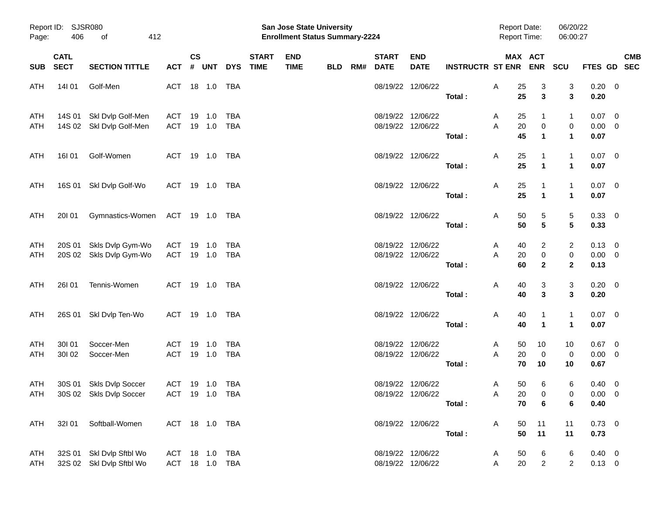|                   | Report ID: SJSR080<br>406<br>412<br>Page:<br>of |                                                      |                                  |               |                  |                          |                             | <b>San Jose State University</b><br><b>Enrollment Status Summary-2224</b> |            |     | <b>Report Date:</b><br><b>Report Time:</b> |                                        | 06/20/22<br>06:00:27        |                          |                                                   |                                |                                       |                           |
|-------------------|-------------------------------------------------|------------------------------------------------------|----------------------------------|---------------|------------------|--------------------------|-----------------------------|---------------------------------------------------------------------------|------------|-----|--------------------------------------------|----------------------------------------|-----------------------------|--------------------------|---------------------------------------------------|--------------------------------|---------------------------------------|---------------------------|
| <b>SUB</b>        | <b>CATL</b><br><b>SECT</b>                      | <b>SECTION TITTLE</b>                                | <b>ACT</b>                       | $\mathsf{cs}$ | # UNT            | <b>DYS</b>               | <b>START</b><br><b>TIME</b> | <b>END</b><br><b>TIME</b>                                                 | <b>BLD</b> | RM# | <b>START</b><br><b>DATE</b>                | <b>END</b><br><b>DATE</b>              | <b>INSTRUCTR ST ENR ENR</b> |                          | MAX ACT                                           | <b>SCU</b>                     |                                       | <b>CMB</b><br>FTES GD SEC |
| ATH               | 14101                                           | Golf-Men                                             | ACT                              |               | 18 1.0           | TBA                      |                             |                                                                           |            |     |                                            | 08/19/22 12/06/22                      | Total:                      | Α<br>25<br>25            | 3<br>$\mathbf{3}$                                 | 3<br>3                         | $0.20 \ 0$<br>0.20                    |                           |
| ATH<br>ATH        |                                                 | 14S 01 Skl Dvlp Golf-Men<br>14S 02 Skl Dvlp Golf-Men | ACT<br>ACT                       |               | 19 1.0<br>19 1.0 | TBA<br>TBA               |                             |                                                                           |            |     |                                            | 08/19/22 12/06/22<br>08/19/22 12/06/22 | Total:                      | 25<br>A<br>20<br>A<br>45 | $\mathbf{1}$<br>$\pmb{0}$<br>$\blacktriangleleft$ | 1<br>0<br>$\mathbf 1$          | $0.07 \quad 0$<br>$0.00 \t 0$<br>0.07 |                           |
| ATH               | 16I 01                                          | Golf-Women                                           | ACT 19 1.0 TBA                   |               |                  |                          |                             |                                                                           |            |     |                                            | 08/19/22 12/06/22                      | Total:                      | A<br>25<br>25            | $\overline{1}$<br>$\mathbf{1}$                    | $\mathbf{1}$<br>$\mathbf 1$    | $0.07 \ 0$<br>0.07                    |                           |
| ATH               |                                                 | 16S 01 SkI Dvlp Golf-Wo                              | ACT 19 1.0 TBA                   |               |                  |                          |                             |                                                                           |            |     |                                            | 08/19/22 12/06/22                      | Total:                      | A<br>25<br>25            | $\overline{1}$<br>$\mathbf{1}$                    | 1<br>$\mathbf 1$               | $0.07 \ 0$<br>0.07                    |                           |
| ATH               | 20I 01                                          | Gymnastics-Women ACT 19 1.0 TBA                      |                                  |               |                  |                          |                             |                                                                           |            |     |                                            | 08/19/22 12/06/22                      | Total:                      | Α<br>50<br>50            | 5<br>$5\phantom{.0}$                              | 5<br>5                         | $0.33 \ 0$<br>0.33                    |                           |
| <b>ATH</b><br>ATH |                                                 | 20S 01 Skls Dvlp Gym-Wo<br>20S 02 Skls Dvlp Gym-Wo   | ACT<br>ACT 19 1.0                |               | 19 1.0           | <b>TBA</b><br><b>TBA</b> |                             |                                                                           |            |     |                                            | 08/19/22 12/06/22<br>08/19/22 12/06/22 | Total:                      | A<br>40<br>A<br>20<br>60 | 2<br>$\pmb{0}$<br>$\mathbf{2}$                    | 2<br>$\pmb{0}$<br>$\mathbf{2}$ | $0.13 \ 0$<br>$0.00 \t 0$<br>0.13     |                           |
| ATH               | 26I 01                                          | Tennis-Women                                         | ACT 19 1.0 TBA                   |               |                  |                          |                             |                                                                           |            |     |                                            | 08/19/22 12/06/22                      | Total:                      | Α<br>40<br>40            | 3<br>$\mathbf{3}$                                 | 3<br>3                         | $0.20 \ 0$<br>0.20                    |                           |
| ATH               |                                                 | 26S 01 Skl Dvlp Ten-Wo                               | ACT 19 1.0 TBA                   |               |                  |                          |                             |                                                                           |            |     |                                            | 08/19/22 12/06/22                      | Total:                      | Α<br>40<br>40            | $\mathbf 1$<br>$\blacktriangleleft$               | 1<br>$\mathbf 1$               | $0.07 \quad 0$<br>0.07                |                           |
| <b>ATH</b><br>ATH | 30101<br>30102                                  | Soccer-Men<br>Soccer-Men                             | <b>ACT</b><br><b>ACT</b>         |               | 19 1.0<br>19 1.0 | <b>TBA</b><br><b>TBA</b> |                             |                                                                           |            |     |                                            | 08/19/22 12/06/22<br>08/19/22 12/06/22 | Total:                      | A<br>50<br>A<br>20<br>70 | 10<br>$\mathbf 0$<br>10                           | 10<br>0<br>10                  | $0.67$ 0<br>$0.00 \t 0$<br>0.67       |                           |
| <b>ATH</b><br>ATH |                                                 | 30S 01 Skls Dvlp Soccer<br>30S 02 Skls Dvlp Soccer   | ACT 19 1.0<br>ACT 19 1.0 TBA     |               |                  | TBA                      |                             |                                                                           |            |     |                                            | 08/19/22 12/06/22<br>08/19/22 12/06/22 | Total:                      | A<br>A                   | 50<br>6<br>20<br>0<br>70<br>6                     | 6<br>$\mathbf{0}$<br>6         | $0.40 \quad 0$<br>$0.00 \t 0$<br>0.40 |                           |
| ATH               |                                                 | 32I 01 Softball-Women                                | ACT 18 1.0 TBA                   |               |                  |                          |                             |                                                                           |            |     |                                            | 08/19/22 12/06/22                      | Total:                      | A                        | 50<br>11<br>50<br>11                              | 11<br>11                       | $0.73 \ 0$<br>0.73                    |                           |
| ATH<br>ATH        |                                                 | 32S 01 SkI Dvlp Sftbl Wo<br>32S 02 Skl Dvlp Sftbl Wo | ACT 18 1.0 TBA<br>ACT 18 1.0 TBA |               |                  |                          |                             |                                                                           |            |     |                                            | 08/19/22 12/06/22<br>08/19/22 12/06/22 |                             | A<br>Α                   | 50<br>6<br>$\overline{2}$<br>20                   | 6<br>$\overline{2}$            | $0.40 \ 0$<br>$0.13 \ 0$              |                           |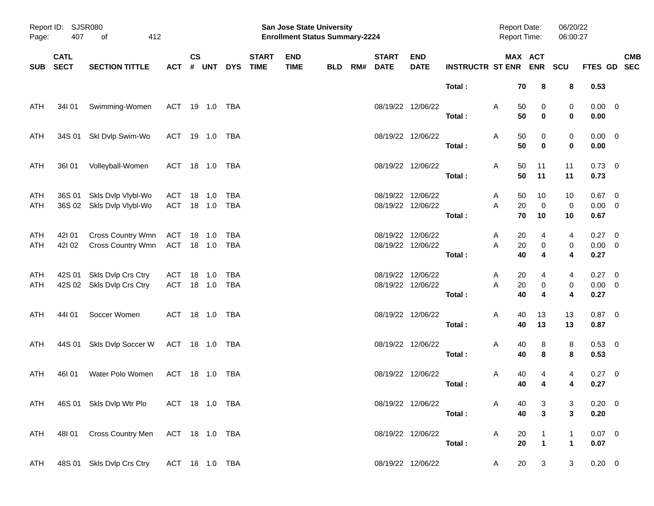| Page:      | Report ID: SJSR080<br>407<br>412<br>οf |                                                 |                              |                    |            |            |                             | San Jose State University<br><b>Enrollment Status Summary-2224</b> |            |     | <b>Report Date:</b><br><b>Report Time:</b> |                                        | 06/20/22<br>06:00:27        |                              |                                         |                                           |                                 |                           |
|------------|----------------------------------------|-------------------------------------------------|------------------------------|--------------------|------------|------------|-----------------------------|--------------------------------------------------------------------|------------|-----|--------------------------------------------|----------------------------------------|-----------------------------|------------------------------|-----------------------------------------|-------------------------------------------|---------------------------------|---------------------------|
| <b>SUB</b> | <b>CATL</b><br><b>SECT</b>             | <b>SECTION TITTLE</b>                           | <b>ACT</b>                   | $\mathsf{cs}$<br># | <b>UNT</b> | <b>DYS</b> | <b>START</b><br><b>TIME</b> | <b>END</b><br><b>TIME</b>                                          | <b>BLD</b> | RM# | <b>START</b><br><b>DATE</b>                | <b>END</b><br><b>DATE</b>              | <b>INSTRUCTR ST ENR ENR</b> |                              | MAX ACT                                 | SCU                                       |                                 | <b>CMB</b><br>FTES GD SEC |
|            |                                        |                                                 |                              |                    |            |            |                             |                                                                    |            |     |                                            |                                        | Total:                      | 70                           | 8                                       | 8                                         | 0.53                            |                           |
| ATH        | 34101                                  | Swimming-Women                                  | ACT 19 1.0 TBA               |                    |            |            |                             |                                                                    |            |     |                                            | 08/19/22 12/06/22                      | Total:                      | Α<br>50<br>50                | 0<br>$\bf{0}$                           | 0<br>0                                    | $0.00 \t 0$<br>0.00             |                           |
| ATH        |                                        | 34S 01 SkI Dvlp Swim-Wo                         | ACT 19 1.0 TBA               |                    |            |            |                             |                                                                    |            |     |                                            | 08/19/22 12/06/22                      | Total:                      | Α<br>50<br>50                | 0<br>$\mathbf 0$                        | 0<br>0                                    | $0.00 \t 0$<br>0.00             |                           |
| ATH        | 36I 01                                 | Volleyball-Women                                | ACT 18 1.0 TBA               |                    |            |            |                             |                                                                    |            |     |                                            | 08/19/22 12/06/22                      | Total:                      | Α<br>50<br>50                | 11<br>11                                | 11<br>11                                  | $0.73 \quad 0$<br>0.73          |                           |
| ATH<br>ATH | 36S 01                                 | Skls Dvlp Vlybl-Wo<br>36S 02 Skls Dvlp Vlybl-Wo | ACT<br>ACT 18 1.0 TBA        | 18 1.0             |            | TBA        |                             |                                                                    |            |     |                                            | 08/19/22 12/06/22<br>08/19/22 12/06/22 | Total:                      | A<br>50<br>20<br>A<br>70     | 10<br>$\mathbf 0$<br>10                 | 10<br>0<br>10                             | $0.67$ 0<br>$0.00 \t 0$<br>0.67 |                           |
| ATH<br>ATH | 421 01<br>42102                        | Cross Country Wmn<br>Cross Country Wmn          | ACT 18 1.0<br>ACT 18 1.0 TBA |                    |            | TBA        |                             |                                                                    |            |     |                                            | 08/19/22 12/06/22<br>08/19/22 12/06/22 | Total:                      | 20<br>A<br>$20\,$<br>A<br>40 | 4<br>0<br>4                             | 4<br>$\pmb{0}$<br>$\overline{\mathbf{4}}$ | 0.27 0<br>$0.00 \t 0$<br>0.27   |                           |
| ATH<br>ATH | 42S 01                                 | Skls Dvlp Crs Ctry<br>42S 02 Skls Dvlp Crs Ctry | ACT<br>ACT 18 1.0 TBA        | 18 1.0             |            | TBA        |                             |                                                                    |            |     |                                            | 08/19/22 12/06/22<br>08/19/22 12/06/22 | Total:                      | 20<br>A<br>A<br>20<br>40     | 4<br>0<br>4                             | 4<br>$\pmb{0}$<br>4                       | $0.27$ 0<br>$0.00 \t 0$<br>0.27 |                           |
| ATH        | 44101                                  | Soccer Women                                    | ACT 18 1.0 TBA               |                    |            |            |                             |                                                                    |            |     |                                            | 08/19/22 12/06/22                      | Total:                      | 40<br>Α<br>40                | 13<br>13                                | 13<br>13                                  | $0.87 \ 0$<br>0.87              |                           |
| ATH        | 44S 01                                 | Skls Dvlp Soccer W                              | ACT 18 1.0 TBA               |                    |            |            |                             |                                                                    |            |     |                                            | 08/19/22 12/06/22                      | Total:                      | Α<br>40<br>40                | 8<br>8                                  | 8<br>8                                    | 0.53 0<br>0.53                  |                           |
| ATH        | 46I 01                                 | Water Polo Women                                | ACT 18 1.0 TBA               |                    |            |            |                             |                                                                    |            |     |                                            | 08/19/22 12/06/22                      | Total:                      | 40<br>A<br>40                | 4<br>$\overline{\mathbf{4}}$            | 4<br>4                                    | 0.27 0<br>0.27                  |                           |
|            |                                        | ATH 46S 01 Skls Dvlp Wtr Plo                    | ACT 18 1.0 TBA               |                    |            |            |                             |                                                                    |            |     |                                            | 08/19/22 12/06/22                      | Total:                      | A<br>40<br>40                | 3<br>$\mathbf{3}$                       | 3<br>$\mathbf{3}$                         | $0.20 \ 0$<br>0.20              |                           |
| ATH        |                                        | 48101 Cross Country Men ACT 18 1.0 TBA          |                              |                    |            |            |                             |                                                                    |            |     |                                            | 08/19/22 12/06/22                      | Total:                      | 20<br>A<br>20                | $\mathbf{1}$<br>$\overline{\mathbf{1}}$ | $\mathbf{1}$<br>$\mathbf{1}$              | $0.07$ 0<br>0.07                |                           |
| ATH        |                                        | 48S 01 Skls Dvlp Crs Ctry                       | ACT 18 1.0 TBA               |                    |            |            |                             |                                                                    |            |     |                                            | 08/19/22 12/06/22                      |                             | 20<br>A                      | $\mathbf{3}$                            | 3                                         | $0.20 \ 0$                      |                           |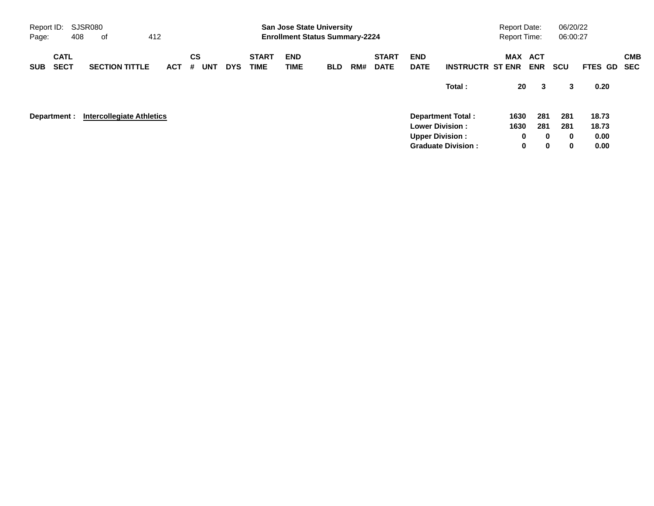| Report ID:<br>Page: |                            | SJSR080<br>408 | оf                               | 412        |                       |            |                             | <b>San Jose State University</b><br><b>Enrollment Status Summary-2224</b> |            |     |                             |                           |                                                     | <b>Report Date:</b><br>Report Time: |                      | 06/20/22<br>06:00:27 |                |                          |
|---------------------|----------------------------|----------------|----------------------------------|------------|-----------------------|------------|-----------------------------|---------------------------------------------------------------------------|------------|-----|-----------------------------|---------------------------|-----------------------------------------------------|-------------------------------------|----------------------|----------------------|----------------|--------------------------|
| <b>SUB</b>          | <b>CATL</b><br><b>SECT</b> |                | <b>SECTION TITTLE</b>            | <b>ACT</b> | CS<br><b>UNT</b><br># | <b>DYS</b> | <b>START</b><br><b>TIME</b> | <b>END</b><br><b>TIME</b>                                                 | <b>BLD</b> | RM# | <b>START</b><br><b>DATE</b> | <b>END</b><br><b>DATE</b> | <b>INSTRUCTR ST ENR</b>                             | MAX ACT                             | <b>ENR</b>           | <b>SCU</b>           | FTES GD        | <b>CMB</b><br><b>SEC</b> |
|                     |                            |                |                                  |            |                       |            |                             |                                                                           |            |     |                             |                           | Total:                                              | 20                                  | 3                    | 3                    | 0.20           |                          |
|                     | Department :               |                | <b>Intercollegiate Athletics</b> |            |                       |            |                             |                                                                           |            |     |                             |                           | <b>Department Total:</b><br><b>Lower Division:</b>  | 1630<br>1630                        | 281<br>281           | 281<br>281           | 18.73<br>18.73 |                          |
|                     |                            |                |                                  |            |                       |            |                             |                                                                           |            |     |                             |                           | <b>Upper Division:</b><br><b>Graduate Division:</b> | 0<br>0                              | $\bf{0}$<br>$\bf{0}$ | $\bf{0}$<br>$\bf{0}$ | 0.00<br>0.00   |                          |